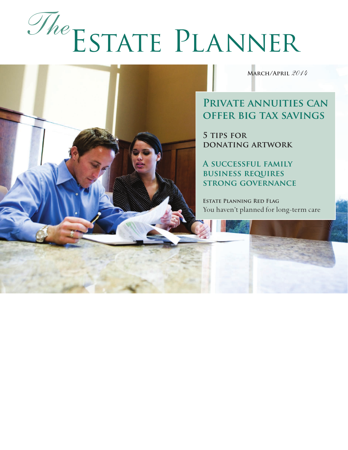# Estate Planner *The*

**March/April** *2014*

## **Private annuities can offer big tax savings**

**5 tips for donating artwork**

**A successful family business requires strong governance**

**Estate Planning Red Flag** You haven't planned for long-term care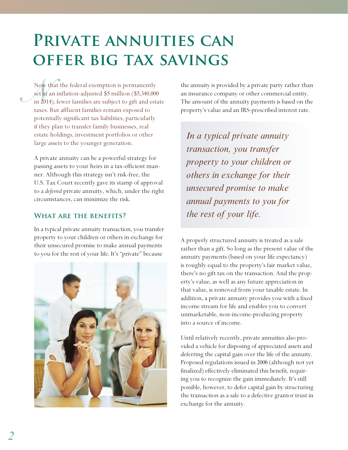# **PRIVATE ANNUITIES CAN offer big tax savings**

Now t<br>
set at is<br>
in 2014 Now that the federal exemption is permanently set at an inflation-adjusted \$5 million (\$5,340,000 in 2014), fewer families are subject to gift and estate taxes. But affluent families remain exposed to potentially significant tax liabilities, particularly if they plan to transfer family businesses, real estate holdings, investment portfolios or other large assets to the younger generation.

A private annuity can be a powerful strategy for passing assets to your heirs in a tax-efficient manner. Although this strategy isn't risk-free, the U.S. Tax Court recently gave its stamp of approval to a *deferred* private annuity, which, under the right circumstances, can minimize the risk.

## **What are the benefits?**

In a typical private annuity transaction, you transfer property to your children or others in exchange for their unsecured promise to make annual payments to you for the rest of your life. It's "private" because



the annuity is provided by a private party rather than an insurance company or other commercial entity. The amount of the annuity payments is based on the property's value and an IRS-prescribed interest rate.

*In a typical private annuity transaction, you transfer property to your children or others in exchange for their unsecured promise to make annual payments to you for the rest of your life.*

A properly structured annuity is treated as a sale rather than a gift. So long as the present value of the annuity payments (based on your life expectancy) is roughly equal to the property's fair market value, there's no gift tax on the transaction. And the property's value, as well as any future appreciation in that value, is removed from your taxable estate. In addition, a private annuity provides you with a fixed income stream for life and enables you to convert unmarketable, non-income-producing property into a source of income.

Until relatively recently, private annuities also provided a vehicle for disposing of appreciated assets and deferring the capital gain over the life of the annuity. Proposed regulations issued in 2006 (although not yet finalized) effectively eliminated this benefit, requiring you to recognize the gain immediately. It's still possible, however, to defer capital gain by structuring the transaction as a sale to a defective grantor trust in exchange for the annuity.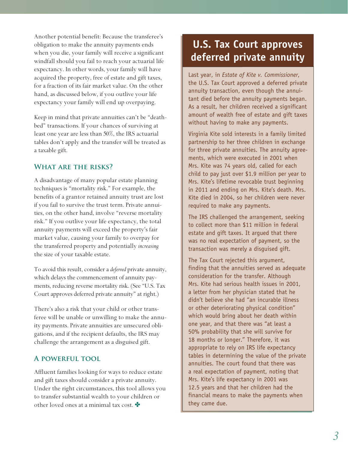Another potential benefit: Because the transferee's obligation to make the annuity payments ends when you die, your family will receive a significant windfall should you fail to reach your actuarial life expectancy. In other words, your family will have acquired the property, free of estate and gift taxes, for a fraction of its fair market value. On the other hand, as discussed below, if you outlive your life expectancy your family will end up overpaying.

Keep in mind that private annuities can't be "deathbed" transactions. If your chances of surviving at least one year are less than 50%, the IRS actuarial tables don't apply and the transfer will be treated as a taxable gift.

## **What are the risks?**

A disadvantage of many popular estate planning techniques is "mortality risk." For example, the benefits of a grantor retained annuity trust are lost if you fail to survive the trust term. Private annuities, on the other hand, involve "reverse mortality risk." If you outlive your life expectancy, the total annuity payments will exceed the property's fair market value, causing your family to overpay for the transferred property and potentially *increasing* the size of your taxable estate.

To avoid this result, consider a *deferred* private annuity, which delays the commencement of annuity payments, reducing reverse mortality risk. (See "U.S. Tax Court approves deferred private annuity" at right.)

There's also a risk that your child or other transferee will be unable or unwilling to make the annuity payments. Private annuities are unsecured obligations, and if the recipient defaults, the IRS may challenge the arrangement as a disguised gift.

#### **A powerful tool**

Affluent families looking for ways to reduce estate and gift taxes should consider a private annuity. Under the right circumstances, this tool allows you to transfer substantial wealth to your children or other loved ones at a minimal tax cost.

## **U.S. Tax Court approves deferred private annuity**

Last year, in *Estate of Kite v. Commissioner*, the U.S. Tax Court approved a deferred private annuity transaction, even though the annuitant died before the annuity payments began. As a result, her children received a significant amount of wealth free of estate and gift taxes without having to make any payments.

Virginia Kite sold interests in a family limited partnership to her three children in exchange for three private annuities. The annuity agreements, which were executed in 2001 when Mrs. Kite was 74 years old, called for each child to pay just over \$1.9 million per year to Mrs. Kite's lifetime revocable trust beginning in 2011 and ending on Mrs. Kite's death. Mrs. Kite died in 2004, so her children were never required to make any payments.

The IRS challenged the arrangement, seeking to collect more than \$11 million in federal estate and gift taxes. It argued that there was no real expectation of payment, so the transaction was merely a disguised gift.

The Tax Court rejected this argument, finding that the annuities served as adequate consideration for the transfer. Although Mrs. Kite had serious health issues in 2001, a letter from her physician stated that he didn't believe she had "an incurable illness or other deteriorating physical condition" which would bring about her death within one year, and that there was "at least a 50% probability that she will survive for 18 months or longer." Therefore, it was appropriate to rely on IRS life expectancy tables in determining the value of the private annuities. The court found that there was a real expectation of payment, noting that Mrs. Kite's life expectancy in 2001 was 12.5 years and that her children had the financial means to make the payments when they came due.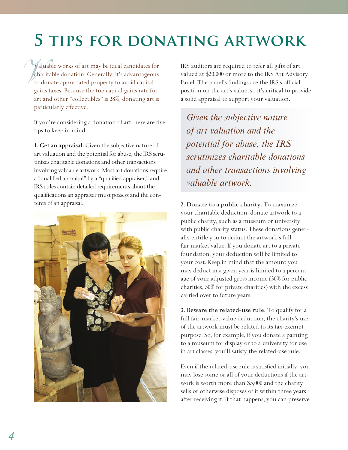# **5 tips for donating artwork**

Vall<br>*Cha*<br>to contract to contract to the contract of the contract of the contract of the contract of the contract of the contract of the contract of the contract of the contract of the contract of the contract of the cont Valuable works of art may be ideal candidates for charitable donation. Generally, it's advantageous to donate appreciated property to avoid capital gains taxes. Because the top capital gains rate for art and other "collectibles" is 28%, donating art is particularly effective.

If you're considering a donation of art, here are five tips to keep in mind:

**1. Get an appraisal.** Given the subjective nature of art valuation and the potential for abuse, the IRS scrutinizes charitable donations and other transactions involving valuable artwork. Most art donations require a "qualified appraisal" by a "qualified appraiser," and IRS rules contain detailed requirements about the qualifications an appraiser must possess and the contents of an appraisal.



IRS auditors are required to refer all gifts of art valued at \$20,000 or more to the IRS Art Advisory Panel. The panel's findings are the IRS's official position on the art's value, so it's critical to provide a solid appraisal to support your valuation.

*Given the subjective nature of art valuation and the potential for abuse, the IRS scrutinizes charitable donations and other transactions involving valuable artwork.*

**2. Donate to a public charity.** To maximize your charitable deduction, donate artwork to a public charity, such as a museum or university with public charity status. These donations generally entitle you to deduct the artwork's full fair market value. If you donate art to a private foundation, your deduction will be limited to your cost. Keep in mind that the amount you may deduct in a given year is limited to a percentage of your adjusted gross income (30% for public charities, 50% for private charities) with the excess carried over to future years.

**3. Beware the related-use rule.** To qualify for a full fair-market-value deduction, the charity's use of the artwork must be related to its tax-exempt purpose. So, for example, if you donate a painting to a museum for display or to a university for use in art classes, you'll satisfy the related-use rule.

Even if the related-use rule is satisfied initially, you may lose some or all of your deductions if the artwork is worth more than \$5,000 and the charity sells or otherwise disposes of it within three years after receiving it. If that happens, you can preserve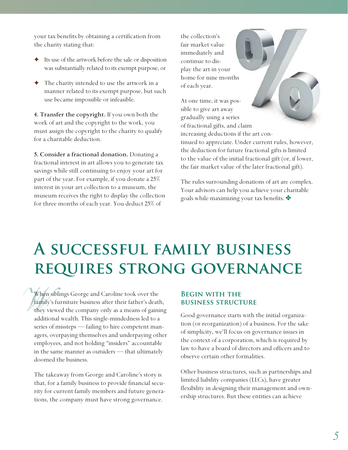your tax benefits by obtaining a certification from the charity stating that:

- ✦ Its use of the artwork before the sale or disposition was substantially related to its exempt purpose, or
- The charity intended to use the artwork in a manner related to its exempt purpose, but such use became impossible or infeasible.

**4. Transfer the copyright.** If you own both the work of art and the copyright to the work, you must assign the copyright to the charity to qualify for a charitable deduction.

**5. Consider a fractional donation.** Donating a fractional interest in art allows you to generate tax savings while still continuing to enjoy your art for part of the year. For example, if you donate a 25% interest in your art collection to a museum, the museum receives the right to display the collection for three months of each year. You deduct 25% of

the collection's fair market value immediately and continue to display the art in your home for nine months of each year.

At one time, it was possible to give art away gradually using a series of fractional gifts, and claim increasing deductions if the art continued to appreciate. Under current rules, however, the deduction for future fractional gifts is limited to the value of the initial fractional gift (or, if lower, the fair market value of the later fractional gift).

The rules surrounding donations of art are complex. Your advisors can help you achieve your charitable goals while maximizing your tax benefits.

# **A successful family business requires strong governance**

When<br>*family*<br>they v When siblings George and Caroline took over the family's furniture business after their father's death, they viewed the company only as a means of gaining additional wealth. This single-mindedness led to a series of missteps — failing to hire competent managers, overpaying themselves and underpaying other employees, and not holding "insiders" accountable in the same manner as outsiders — that ultimately doomed the business.

The takeaway from George and Caroline's story is that, for a family business to provide financial security for current family members and future generations, the company must have strong governance.

## **Begin with the business structure**

Good governance starts with the initial organization (or reorganization) of a business. For the sake of simplicity, we'll focus on governance issues in the context of a corporation, which is required by law to have a board of directors and officers and to observe certain other formalities.

Other business structures, such as partnerships and limited liability companies (LLCs), have greater flexibility in designing their management and ownership structures. But these entities can achieve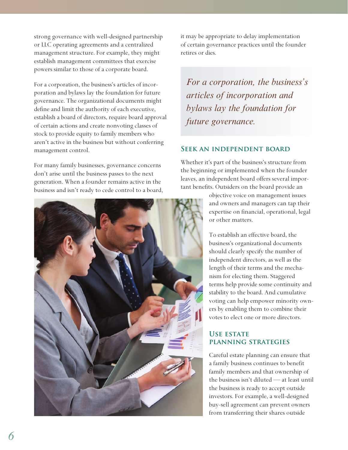strong governance with well-designed partnership or LLC operating agreements and a centralized management structure. For example, they might establish management committees that exercise powers similar to those of a corporate board.

For a corporation, the business's articles of incorporation and bylaws lay the foundation for future governance. The organizational documents might define and limit the authority of each executive, establish a board of directors, require board approval of certain actions and create nonvoting classes of stock to provide equity to family members who aren't active in the business but without conferring management control.

For many family businesses, governance concerns don't arise until the business passes to the next generation. When a founder remains active in the business and isn't ready to cede control to a board,



it may be appropriate to delay implementation of certain governance practices until the founder retires or dies.

*For a corporation, the business's articles of incorporation and bylaws lay the foundation for future governance.*

#### **Seek an independent board**

Whether it's part of the business's structure from the beginning or implemented when the founder leaves, an independent board offers several important benefits. Outsiders on the board provide an

> objective voice on management issues and owners and managers can tap their expertise on financial, operational, legal or other matters.

To establish an effective board, the business's organizational documents should clearly specify the number of independent directors, as well as the length of their terms and the mechanism for electing them. Staggered terms help provide some continuity and stability to the board. And cumulative voting can help empower minority owners by enabling them to combine their votes to elect one or more directors.

## **Use estate planning strategies**

Careful estate planning can ensure that a family business continues to benefit family members and that ownership of the business isn't diluted — at least until the business is ready to accept outside investors. For example, a well-designed buy-sell agreement can prevent owners from transferring their shares outside